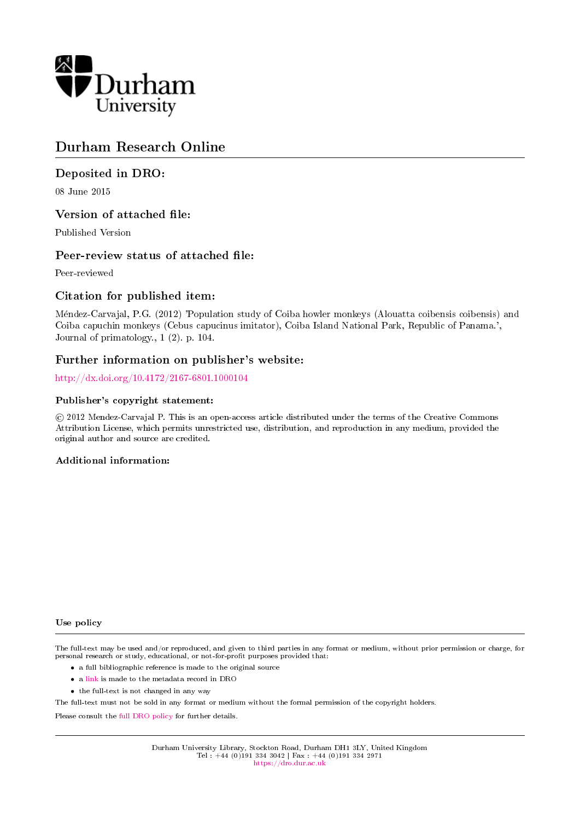

# Durham Research Online

# Deposited in DRO:

08 June 2015

# Version of attached file:

Published Version

# Peer-review status of attached file:

Peer-reviewed

# Citation for published item:

Mendez-Carvajal, P.G. (2012) 'Population study of Coiba howler monkeys (Alouatta coibensis coibensis) and Coiba capuchin monkeys (Cebus capucinus imitator), Coiba Island National Park, Republic of Panama.', Journal of primatology., 1 (2). p. 104.

# Further information on publisher's website:

<http://dx.doi.org/10.4172/2167-6801.1000104>

# Publisher's copyright statement:

 c 2012 Mendez-Carvajal P. This is an open-access article distributed under the terms of the Creative Commons Attribution License, which permits unrestricted use, distribution, and reproduction in any medium, provided the original author and source are credited.

# Additional information:

## Use policy

The full-text may be used and/or reproduced, and given to third parties in any format or medium, without prior permission or charge, for personal research or study, educational, or not-for-profit purposes provided that:

- a full bibliographic reference is made to the original source
- a [link](http://dro.dur.ac.uk/15650/) is made to the metadata record in DRO
- the full-text is not changed in any way

The full-text must not be sold in any format or medium without the formal permission of the copyright holders.

Please consult the [full DRO policy](https://dro.dur.ac.uk/policies/usepolicy.pdf) for further details.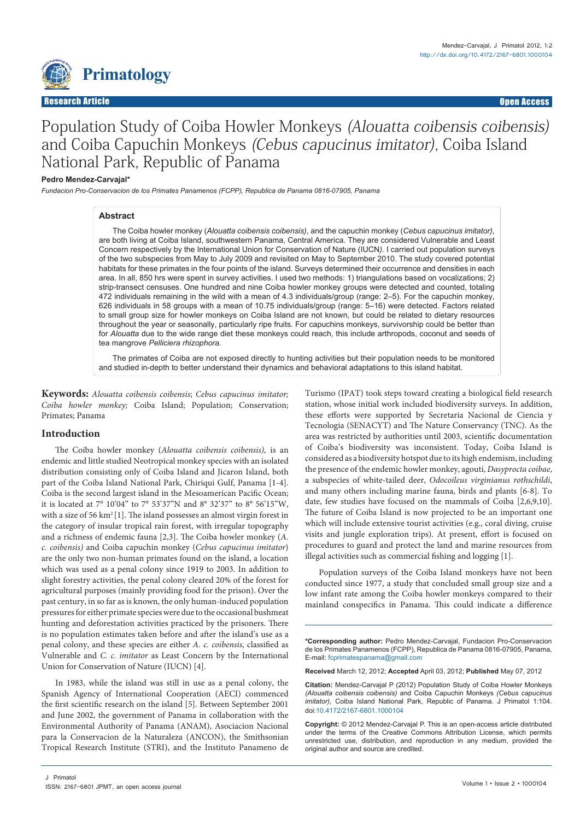

# Population Study of Coiba Howler Monkeys (Alouatta coibensis coibensis) and Coiba Capuchin Monkeys (Cebus capucinus imitator), Coiba Island National Park, Republic of Panama

#### **Pedro Mendez-Carvajal\***

*Fundacion Pro-Conservacion de los Primates Panamenos (FCPP), Republica de Panama 0816-07905, Panama*

#### **Abstract**

The Coiba howler monkey (*Alouatta coibensis coibensis)*, and the capuchin monkey (*Cebus capucinus imitator)*, are both living at Coiba Island, southwestern Panama, Central America. They are considered Vulnerable and Least Concern respectively by the International Union for Conservation of Nature (IUCN*).* I carried out population surveys of the two subspecies from May to July 2009 and revisited on May to September 2010. The study covered potential habitats for these primates in the four points of the island. Surveys determined their occurrence and densities in each area. In all, 850 hrs were spent in survey activities. I used two methods: 1) triangulations based on vocalizations; 2) strip-transect censuses. One hundred and nine Coiba howler monkey groups were detected and counted, totaling 472 individuals remaining in the wild with a mean of 4.3 individuals/group (range: 2–5). For the capuchin monkey, 626 individuals in 58 groups with a mean of 10.75 individuals/group (range: 5–16) were detected. Factors related to small group size for howler monkeys on Coiba Island are not known, but could be related to dietary resources throughout the year or seasonally, particularly ripe fruits. For capuchins monkeys, survivorship could be better than for *Alouatta* due to the wide range diet these monkeys could reach, this include arthropods, coconut and seeds of tea mangrove *Pelliciera rhizophora.*

The primates of Coiba are not exposed directly to hunting activities but their population needs to be monitored and studied in-depth to better understand their dynamics and behavioral adaptations to this island habitat.

**Keywords:** *Alouatta coibensis coibensis*; *Cebus capucinus imitator; Coiba howler monkey;* Coiba Island; Population; Conservation; Primates; Panama

# **Introduction**

The Coiba howler monkey (*Alouatta coibensis coibensis),* is an endemic and little studied Neotropical monkey species with an isolated distribution consisting only of Coiba Island and Jicaron Island, both part of the Coiba Island National Park, Chiriqui Gulf, Panama [1-4]. Coiba is the second largest island in the Mesoamerican Pacific Ocean; it is located at 7° 10'04" to 7° 53'37"N and 8° 32'37" to 8° 56'15"W, with a size of 56 km<sup>2</sup>[1]. The island possesses an almost virgin forest in the category of insular tropical rain forest, with irregular topography and a richness of endemic fauna [2,3]. The Coiba howler monkey (*A. c. coibensis)* and Coiba capuchin monkey (*Cebus capucinus imitator*) are the only two non-human primates found on the island, a location which was used as a penal colony since 1919 to 2003. In addition to slight forestry activities, the penal colony cleared 20% of the forest for agricultural purposes (mainly providing food for the prison). Over the past century, in so far as is known, the only human-induced population pressures for either primate species were due to the occasional bushmeat hunting and deforestation activities practiced by the prisoners. There is no population estimates taken before and after the island's use as a penal colony, and these species are either *A. c. coibensis*, classified as Vulnerable and *C. c. imitator* as Least Concern by the International Union for Conservation of Nature (IUCN) [4].

In 1983, while the island was still in use as a penal colony, the Spanish Agency of International Cooperation (AECI) commenced the first scientific research on the island [5]. Between September 2001 and June 2002, the government of Panama in collaboration with the Environmental Authority of Panama (ANAM), Asociacion Nacional para la Conservacion de la Naturaleza (ANCON), the Smithsonian Tropical Research Institute (STRI), and the Instituto Panameno de

Turismo (IPAT) took steps toward creating a biological field research station, whose initial work included biodiversity surveys. In addition, these efforts were supported by Secretaria Nacional de Ciencia y Tecnologia (SENACYT) and The Nature Conservancy (TNC). As the area was restricted by authorities until 2003, scientific documentation of Coiba's biodiversity was inconsistent. Today, Coiba Island is considered as a biodiversity hotspot due to its high endemism, including the presence of the endemic howler monkey, agouti, *Dasyprocta coibae*, a subspecies of white-tailed deer, *Odocoileus virginianus rothschildi*, and many others including marine fauna, birds and plants [6-8]. To date, few studies have focused on the mammals of Coiba [2,6,9,10]. The future of Coiba Island is now projected to be an important one which will include extensive tourist activities (e.g., coral diving, cruise visits and jungle exploration trips). At present, effort is focused on procedures to guard and protect the land and marine resources from illegal activities such as commercial fishing and logging [1].

Population surveys of the Coiba Island monkeys have not been conducted since 1977, a study that concluded small group size and a low infant rate among the Coiba howler monkeys compared to their mainland conspecifics in Panama. This could indicate a difference

**\*Corresponding author:** Pedro Mendez-Carvajal, Fundacion Pro-Conservacion de los Primates Panamenos (FCPP), Republica de Panama 0816-07905, Panama, E-mail: fcprimatespanama@gmail.com

**Received** March 12, 2012; **Accepted** April 03, 2012; **Published** May 07, 2012

**Citation:** Mendez-Carvajal P (2012) Population Study of Coiba Howler Monkeys *(Alouatta coibensis coibensis)* and Coiba Capuchin Monkeys *(Cebus capucinus imitator)*, Coiba Island National Park, Republic of Panama. J Primatol 1:104. doi[:10.4172/2167-6801.10001](http://dx.doi.org/10.4172/2167-6801.1000104)04

**Copyright:** © 2012 Mendez-Carvajal P. This is an open-access article distributed under the terms of the Creative Commons Attribution License, which permits unrestricted use, distribution, and reproduction in any medium, provided the original author and source are credited.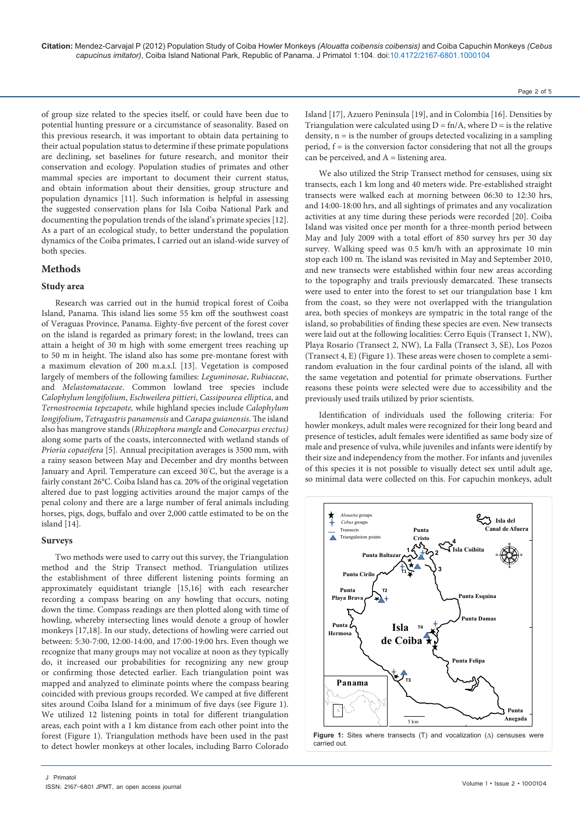of group size related to the species itself, or could have been due to potential hunting pressure or a circumstance of seasonality. Based on this previous research, it was important to obtain data pertaining to their actual population status to determine if these primate populations are declining, set baselines for future research, and monitor their conservation and ecology. Population studies of primates and other mammal species are important to document their current status, and obtain information about their densities, group structure and population dynamics [11]. Such information is helpful in assessing the suggested conservation plans for Isla Coiba National Park and documenting the population trends of the island's primate species [12]. As a part of an ecological study, to better understand the population dynamics of the Coiba primates, I carried out an island-wide survey of both species.

## **Methods**

## **Study area**

Research was carried out in the humid tropical forest of Coiba Island, Panama. This island lies some 55 km off the southwest coast of Veraguas Province, Panama. Eighty-five percent of the forest cover on the island is regarded as primary forest; in the lowland, trees can attain a height of 30 m high with some emergent trees reaching up to 50 m in height. The island also has some pre-montane forest with a maximum elevation of 200 m.a.s.l. [13]. Vegetation is composed largely of members of the following families: *Leguminosae*, *Rubiaceae*, and *Melastomataceae*. Common lowland tree species include *Calophylum longifolium*, *Eschweilera pittieri*, *Cassipourea elliptica*, and *Ternostroemia tepezapote,* while highland species include *Calophylum longifolium*, *Tetragastris panamensis* and *Carapa guianensis*. The island also has mangrove stands (*Rhizophora mangle* and *Conocarpus erectus)* along some parts of the coasts, interconnected with wetland stands of *Prioria copaeifera* [5]. Annual precipitation averages is 3500 mm, with a rainy season between May and December and dry months between January and April. Temperature can exceed 30° C, but the average is a fairly constant 26°C. Coiba Island has ca. 20% of the original vegetation altered due to past logging activities around the major camps of the penal colony and there are a large number of feral animals including horses, pigs, dogs, buffalo and over 2,000 cattle estimated to be on the island [14].

#### **Surveys**

Two methods were used to carry out this survey, the Triangulation method and the Strip Transect method. Triangulation utilizes the establishment of three different listening points forming an approximately equidistant triangle [15,16] with each researcher recording a compass bearing on any howling that occurs, noting down the time. Compass readings are then plotted along with time of howling, whereby intersecting lines would denote a group of howler monkeys [17,18]. In our study, detections of howling were carried out between: 5:30-7:00, 12:00-14:00, and 17:00-19:00 hrs. Even though we recognize that many groups may not vocalize at noon as they typically do, it increased our probabilities for recognizing any new group or confirming those detected earlier. Each triangulation point was mapped and analyzed to eliminate points where the compass bearing coincided with previous groups recorded. We camped at five different sites around Coiba Island for a minimum of five days (see Figure 1). We utilized 12 listening points in total for different triangulation areas, each point with a 1 km distance from each other point into the forest (Figure 1). Triangulation methods have been used in the past to detect howler monkeys at other locales, including Barro Colorado Page 2 of 5

Island [17], Azuero Peninsula [19], and in Colombia [16]. Densities by Triangulation were calculated using  $D = \text{fn}/A$ , where  $D = \text{is the relative}$ density,  $n = i$  s the number of groups detected vocalizing in a sampling period,  $f =$  is the conversion factor considering that not all the groups can be perceived, and  $A =$  listening area.

We also utilized the Strip Transect method for censuses, using six transects, each 1 km long and 40 meters wide. Pre-established straight transects were walked each at morning between 06:30 to 12:30 hrs, and 14:00-18:00 hrs, and all sightings of primates and any vocalization activities at any time during these periods were recorded [20]. Coiba Island was visited once per month for a three-month period between May and July 2009 with a total effort of 850 survey hrs per 30 day survey. Walking speed was 0.5 km/h with an approximate 10 min stop each 100 m. The island was revisited in May and September 2010, and new transects were established within four new areas according to the topography and trails previously demarcated. These transects were used to enter into the forest to set our triangulation base 1 km from the coast, so they were not overlapped with the triangulation area, both species of monkeys are sympatric in the total range of the island, so probabilities of finding these species are even. New transects were laid out at the following localities: Cerro Equis (Transect 1, NW), Playa Rosario (Transect 2, NW), La Falla (Transect 3, SE), Los Pozos (Transect 4, E) (Figure 1). These areas were chosen to complete a semirandom evaluation in the four cardinal points of the island, all with the same vegetation and potential for primate observations. Further reasons these points were selected were due to accessibility and the previously used trails utilized by prior scientists.

Identification of individuals used the following criteria: For howler monkeys, adult males were recognized for their long beard and presence of testicles, adult females were identified as same body size of male and presence of vulva, while juveniles and infants were identify by their size and independency from the mother. For infants and juveniles of this species it is not possible to visually detect sex until adult age, so minimal data were collected on this. For capuchin monkeys, adult

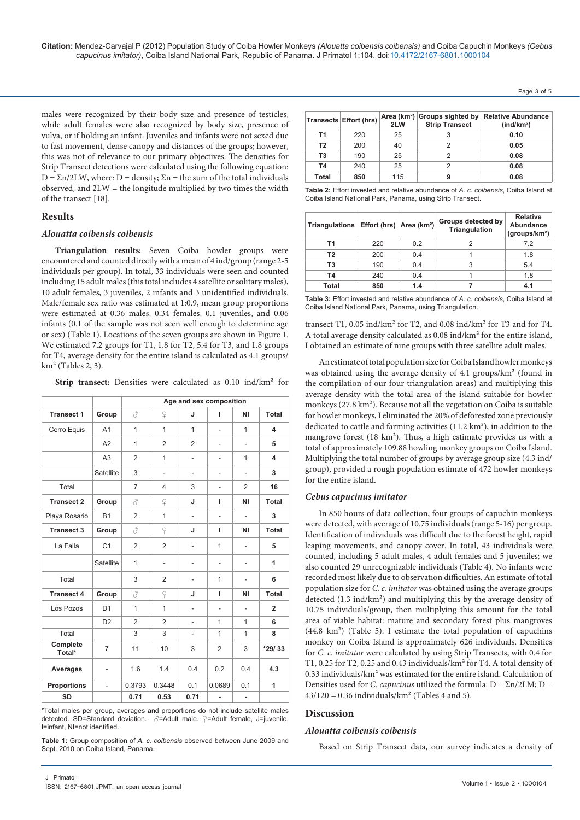**Citation:** Mendez-Carvajal P (2012) Population Study of Coiba Howler Monkeys *(Alouatta coibensis coibensis)* and Coiba Capuchin Monkeys *(Cebus capucinus imitator)*, Coiba Island National Park, Republic of Panama. J Primatol 1:104. doi[:10.4172/2167-6801.10001](http://dx.doi.org/10.4172/2167-6801.1000104)04

males were recognized by their body size and presence of testicles, while adult females were also recognized by body size, presence of vulva, or if holding an infant. Juveniles and infants were not sexed due to fast movement, dense canopy and distances of the groups; however, this was not of relevance to our primary objectives. The densities for Strip Transect detections were calculated using the following equation:  $D = \Sigma n/2LW$ , where:  $D =$  density;  $\Sigma n =$  the sum of the total individuals observed, and 2LW = the longitude multiplied by two times the width of the transect [18].

## **Results**

#### *Alouatta coibensis coibensis*

**Triangulation results:** Seven Coiba howler groups were encountered and counted directly with a mean of 4 ind/group (range 2-5 individuals per group). In total, 33 individuals were seen and counted including 15 adult males (this total includes 4 satellite or solitary males), 10 adult females, 3 juveniles, 2 infants and 3 unidentified individuals. Male/female sex ratio was estimated at 1:0.9, mean group proportions were estimated at 0.36 males, 0.34 females, 0.1 juveniles, and 0.06 infants (0.1 of the sample was not seen well enough to determine age or sex) (Table 1). Locations of the seven groups are shown in Figure 1. We estimated 7.2 groups for T1, 1.8 for T2, 5.4 for T3, and 1.8 groups for T4, average density for the entire island is calculated as 4.1 groups/  $km<sup>2</sup>$  (Tables 2, 3).

Strip transect: Densities were calculated as 0.10 ind/km<sup>2</sup> for

|                    |                | Age and sex composition |                |                          |                          |                          |                |
|--------------------|----------------|-------------------------|----------------|--------------------------|--------------------------|--------------------------|----------------|
| <b>Transect 1</b>  | Group          | 8                       | $\mathsf{P}$   | J                        | ı                        | ΝI                       | <b>Total</b>   |
| Cerro Equis        | A <sub>1</sub> | $\mathbf{1}$            | $\mathbf{1}$   | $\mathbf{1}$             | $\overline{\phantom{a}}$ | $\mathbf{1}$             | 4              |
|                    | A2             | 1                       | $\overline{2}$ | $\overline{2}$           | ٠                        | ä,                       | 5              |
|                    | A3             | 2                       | 1              | ٠                        | ٠                        | 1                        | 4              |
|                    | Satellite      | 3                       | ä,             | ٠                        | L,                       | ä,                       | 3              |
| Total              |                | $\overline{7}$          | 4              | 3                        | $\overline{\phantom{a}}$ | $\overline{2}$           | 16             |
| <b>Transect 2</b>  | Group          | 3                       | $\mathsf{Q}$   | J                        | ı                        | ΝI                       | Total          |
| Playa Rosario      | <b>B1</b>      | 2                       | $\mathbf{1}$   | ä,                       | ä,                       | ä,                       | 3              |
| <b>Transect 3</b>  | Group          | 8                       | $\mathsf{Q}$   | J                        | ı                        | ΝI                       | Total          |
| La Falla           | C <sub>1</sub> | $\overline{2}$          | $\overline{2}$ | ٠                        | 1                        | ä,                       | 5              |
|                    | Satellite      | 1                       | $\overline{a}$ | $\overline{\phantom{0}}$ | $\overline{\phantom{a}}$ | $\overline{\phantom{0}}$ | 1              |
| Total              |                | 3                       | $\overline{2}$ | $\overline{\phantom{0}}$ | 1                        | $\overline{\phantom{0}}$ | 6              |
| <b>Transect 4</b>  | Group          | 8                       | $\mathsf{P}$   | J                        | I.                       | <b>NI</b>                | Total          |
| Los Pozos          | D <sub>1</sub> | $\mathbf{1}$            | $\mathbf{1}$   | ٠                        | $\overline{\phantom{a}}$ | $\overline{\phantom{0}}$ | $\overline{2}$ |
|                    | D <sub>2</sub> | $\overline{2}$          | $\overline{2}$ |                          | 1                        | 1                        | 6              |
| Total              |                | 3                       | 3              | $\overline{\phantom{0}}$ | 1                        | $\mathbf{1}$             | 8              |
| Complete<br>Total* | $\overline{7}$ | 11                      | 10             | 3                        | $\overline{2}$           | 3                        | $*29/33$       |
| Averages           | $\overline{a}$ | 1.6                     | 1.4            | 0.4                      | 0.2                      | 0.4                      | 4.3            |
| <b>Proportions</b> | $\overline{a}$ | 0.3793                  | 0.3448         | 0.1                      | 0.0689                   | 0.1                      | 1              |
| <b>SD</b>          |                | 0.71                    | 0.53           | 0.71                     | ٠                        | ٠                        |                |

\*Total males per group, averages and proportions do not include satellite males detected. SD=Standard deviation. ♂=Adult male. ♀=Adult female, J=juvenile, I=infant, NI=not identified.

**Table 1:** Group composition of *A. c. coibensis* observed between June 2009 and Sept. 2010 on Coiba Island, Panama.

|                | Transects Effort (hrs) | 2LW | <b>Strip Transect</b> | Area (km <sup>2</sup> ) Groups sighted by Relative Abundance<br>(ind/km <sup>2</sup> ) |
|----------------|------------------------|-----|-----------------------|----------------------------------------------------------------------------------------|
| Т1             | 220                    | 25  |                       | 0.10                                                                                   |
| T <sub>2</sub> | 200                    | 40  | 2                     | 0.05                                                                                   |
| T3             | 190                    | 25  |                       | 0.08                                                                                   |
| <b>T4</b>      | 240                    | 25  |                       | 0.08                                                                                   |
| <b>Total</b>   | 850                    | 115 | 9                     | 0.08                                                                                   |

Page 3 of 5

**Table 2:** Effort invested and relative abundance of *A. c. coibensis*, Coiba Island at Coiba Island National Park, Panama, using Strip Transect.

| Triangulations Effort (hrs) Area (km <sup>2</sup> ) |     |     | Groups detected by<br><b>Triangulation</b> | <b>Relative</b><br>Abundance<br>(groups/km <sup>2</sup> ) |  |
|-----------------------------------------------------|-----|-----|--------------------------------------------|-----------------------------------------------------------|--|
| T1                                                  | 220 | 0.2 | 2                                          | 7.2                                                       |  |
| T <sub>2</sub>                                      | 200 | 0.4 |                                            | 1.8                                                       |  |
| T3                                                  | 190 | 0.4 | 3                                          | 5.4                                                       |  |
| T4                                                  | 240 | 0.4 |                                            | 1.8                                                       |  |
| <b>Total</b>                                        | 850 | 1.4 |                                            | 4.1                                                       |  |

**Table 3:** Effort invested and relative abundance of *A. c. coibensis*, Coiba Island at Coiba Island National Park, Panama, using Triangulation.

transect T1, 0.05 ind/km² for T2, and 0.08 ind/km² for T3 and for T4. A total average density calculated as 0.08 ind/km² for the entire island, I obtained an estimate of nine groups with three satellite adult males.

An estimate of total population size for Coiba Island howler monkeys was obtained using the average density of 4.1 groups/km² (found in the compilation of our four triangulation areas) and multiplying this average density with the total area of the island suitable for howler monkeys (27.8 km²). Because not all the vegetation on Coiba is suitable for howler monkeys, I eliminated the 20% of deforested zone previously dedicated to cattle and farming activities (11.2 km²), in addition to the mangrove forest (18 km²). Thus, a high estimate provides us with a total of approximately 109.88 howling monkey groups on Coiba Island. Multiplying the total number of groups by average group size (4.3 ind/ group), provided a rough population estimate of 472 howler monkeys for the entire island.

## *Cebus capucinus imitator*

In 850 hours of data collection, four groups of capuchin monkeys were detected, with average of 10.75 individuals (range 5-16) per group. Identification of individuals was difficult due to the forest height, rapid leaping movements, and canopy cover. In total, 43 individuals were counted, including 5 adult males, 4 adult females and 5 juveniles; we also counted 29 unrecognizable individuals (Table 4). No infants were recorded most likely due to observation difficulties. An estimate of total population size for *C. c. imitator* was obtained using the average groups detected (1.3 ind/km²) and multiplying this by the average density of 10.75 individuals/group, then multiplying this amount for the total area of viable habitat: mature and secondary forest plus mangroves (44.8 km²) (Table 5). I estimate the total population of capuchins monkey on Coiba Island is approximately 626 individuals. Densities for *C. c. imitator* were calculated by using Strip Transects, with 0.4 for T1, 0.25 for T2, 0.25 and 0.43 individuals/km² for T4. A total density of 0.33 individuals/km² was estimated for the entire island. Calculation of Densities used for *C. capucinus* utilized the formula:  $D = \Sigma n/2LM$ ;  $D =$  $43/120 = 0.36$  individuals/km<sup>2</sup> (Tables 4 and 5).

## **Discussion**

#### *Alouatta coibensis coibensis*

Based on Strip Transect data, our survey indicates a density of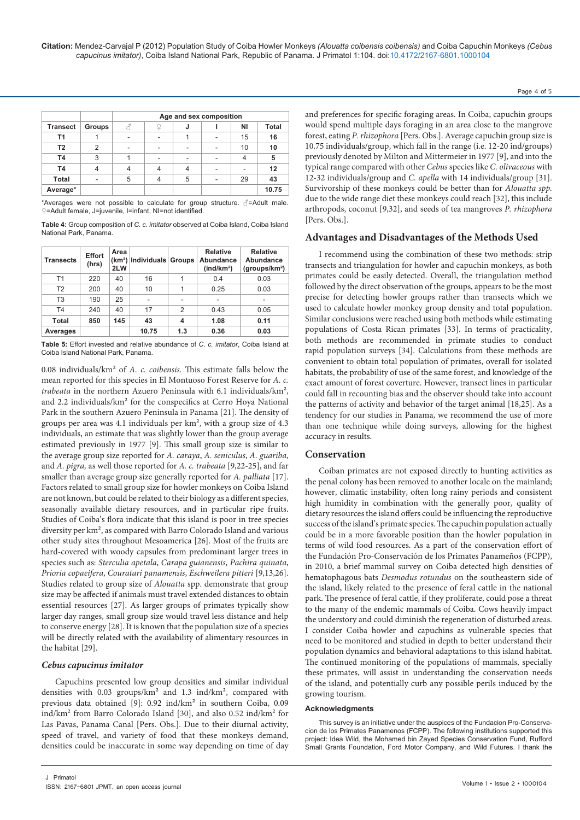|                 |                | Age and sex composition |  |   |  |    |       |
|-----------------|----------------|-------------------------|--|---|--|----|-------|
| <b>Transect</b> | Groups         |                         |  | J |  | ΝI | Total |
| Τ1              |                |                         |  |   |  | 15 | 16    |
| T <sub>2</sub>  | $\mathfrak{p}$ | ۰                       |  | ۰ |  | 10 | 10    |
| T4              | 3              |                         |  |   |  |    | 5     |
| T4              |                |                         |  |   |  |    | 12    |
| <b>Total</b>    |                | 5                       |  | 5 |  | 29 | 43    |
| Average*        |                |                         |  |   |  |    | 10.75 |

\*Averages were not possible to calculate for group structure. ♂=Adult male. ♀=Adult female, J=juvenile, I=infant, NI=not identified.

**Table 4:** Group composition of *C. c. imitator* observed at Coiba Island, Coiba Island National Park, Panama.

| Transects      | <b>Effort</b><br>(hrs) | Area<br>2LW | $(km2)$ Individuals Groups |     | <b>Relative</b><br>Abundance<br>(ind/km <sup>2</sup> ) | <b>Relative</b><br>Abundance<br>(groups/km <sup>2</sup> ) |
|----------------|------------------------|-------------|----------------------------|-----|--------------------------------------------------------|-----------------------------------------------------------|
| T1             | 220                    | 40          | 16                         | 1   | 0.4                                                    | 0.03                                                      |
| T <sub>2</sub> | 200                    | 40          | 10                         | 1   | 0.25                                                   | 0.03                                                      |
| T <sub>3</sub> | 190                    | 25          | ۰                          | ۰   | ٠                                                      |                                                           |
| T <sub>4</sub> | 240                    | 40          | 17                         | 2   | 0.43                                                   | 0.05                                                      |
| Total          | 850                    | 145         | 43                         | 4   | 1.08                                                   | 0.11                                                      |
| Averages       |                        |             | 10.75                      | 1.3 | 0.36                                                   | 0.03                                                      |

**Table 5:** Effort invested and relative abundance of *C. c. imitator*, Coiba Island at Coiba Island National Park, Panama.

0.08 individuals/km² of *A. c. coibensis.* This estimate falls below the mean reported for this species in El Montuoso Forest Reserve for *A. c. trabeata* in the northern Azuero Peninsula with 6.1 individuals/km², and 2.2 individuals/km² for the conspecifics at Cerro Hoya National Park in the southern Azuero Peninsula in Panama [21]. The density of groups per area was 4.1 individuals per km², with a group size of 4.3 individuals, an estimate that was slightly lower than the group average estimated previously in 1977 [9]. This small group size is similar to the average group size reported for *A. caraya*, *A. seniculus*, *A. guariba*, and *A. pigra,* as well those reported for *A. c. trabeata* [9,22-25], and far smaller than average group size generally reported for *A. palliata* [17]. Factors related to small group size for howler monkeys on Coiba Island are not known, but could be related to their biology as a different species, seasonally available dietary resources, and in particular ripe fruits. Studies of Coiba's flora indicate that this island is poor in tree species diversity per km², as compared with Barro Colorado Island and various other study sites throughout Mesoamerica [26]. Most of the fruits are hard-covered with woody capsules from predominant larger trees in species such as: *Sterculia apetala*, *Carapa guianensis*, *Pachira quinata*, *Prioria copaeifera*, *Couratari panamensis*, *Eschweilera pitteri* [9,13,26]. Studies related to group size of *Alouatta* spp. demonstrate that group size may be affected if animals must travel extended distances to obtain essential resources [27]. As larger groups of primates typically show larger day ranges, small group size would travel less distance and help to conserve energy [28]. It is known that the population size of a species will be directly related with the availability of alimentary resources in the habitat [29].

# *Cebus capucinus imitator*

Capuchins presented low group densities and similar individual densities with 0.03 groups/km² and 1.3 ind/km², compared with previous data obtained [9]: 0.92 ind/km² in southern Coiba, 0.09 ind/km² from Barro Colorado Island [30], and also 0.52 ind/km² for Las Pavas, Panama Canal [Pers. Obs.]. Due to their diurnal activity, speed of travel, and variety of food that these monkeys demand, densities could be inaccurate in some way depending on time of day and preferences for specific foraging areas. In Coiba, capuchin groups would spend multiple days foraging in an area close to the mangrove forest, eating *P. rhizophora* [Pers. Obs.]. Average capuchin group size is 10.75 individuals/group, which fall in the range (i.e. 12-20 ind/groups) previously denoted by Milton and Mittermeier in 1977 [9], and into the typical range compared with other *Cebus* species like *C. olivaceous* with 12-32 individuals/group and *C. apella* with 14 individuals/group [31]. Survivorship of these monkeys could be better than for *Alouatta spp.*  due to the wide range diet these monkeys could reach [32], this include arthropods, coconut [9,32], and seeds of tea mangroves *P. rhizophora*  [Pers. Obs.].

# **Advantages and Disadvantages of the Methods Used**

I recommend using the combination of these two methods: strip transects and triangulation for howler and capuchin monkeys, as both primates could be easily detected. Overall, the triangulation method followed by the direct observation of the groups, appears to be the most precise for detecting howler groups rather than transects which we used to calculate howler monkey group density and total population. Similar conclusions were reached using both methods while estimating populations of Costa Rican primates [33]. In terms of practicality, both methods are recommended in primate studies to conduct rapid population surveys [34]. Calculations from these methods are convenient to obtain total population of primates, overall for isolated habitats, the probability of use of the same forest, and knowledge of the exact amount of forest coverture. However, transect lines in particular could fall in recounting bias and the observer should take into account the patterns of activity and behavior of the target animal [18,25]. As a tendency for our studies in Panama, we recommend the use of more than one technique while doing surveys, allowing for the highest accuracy in results.

# **Conservation**

Coiban primates are not exposed directly to hunting activities as the penal colony has been removed to another locale on the mainland; however, climatic instability, often long rainy periods and consistent high humidity in combination with the generally poor, quality of dietary resources the island offers could be influencing the reproductive success of the island's primate species. The capuchin population actually could be in a more favorable position than the howler population in terms of wild food resources. As a part of the conservation effort of the Fundación Pro-Conservación de los Primates Panameños (FCPP), in 2010, a brief mammal survey on Coiba detected high densities of hematophagous bats *Desmodus rotundus* on the southeastern side of the island, likely related to the presence of feral cattle in the national park. The presence of feral cattle, if they proliferate, could pose a threat to the many of the endemic mammals of Coiba. Cows heavily impact the understory and could diminish the regeneration of disturbed areas. I consider Coiba howler and capuchins as vulnerable species that need to be monitored and studied in depth to better understand their population dynamics and behavioral adaptations to this island habitat. The continued monitoring of the populations of mammals, specially these primates, will assist in understanding the conservation needs of the island, and potentially curb any possible perils induced by the growing tourism.

## **Acknowledgments**

This survey is an initiative under the auspices of the Fundacion Pro-Conservacion de los Primates Panamenos (FCPP). The following institutions supported this project: Idea Wild, the Mohamed bin Zayed Species Conservation Fund, Rufford Small Grants Foundation, Ford Motor Company, and Wild Futures. I thank the

Page 4 of 5